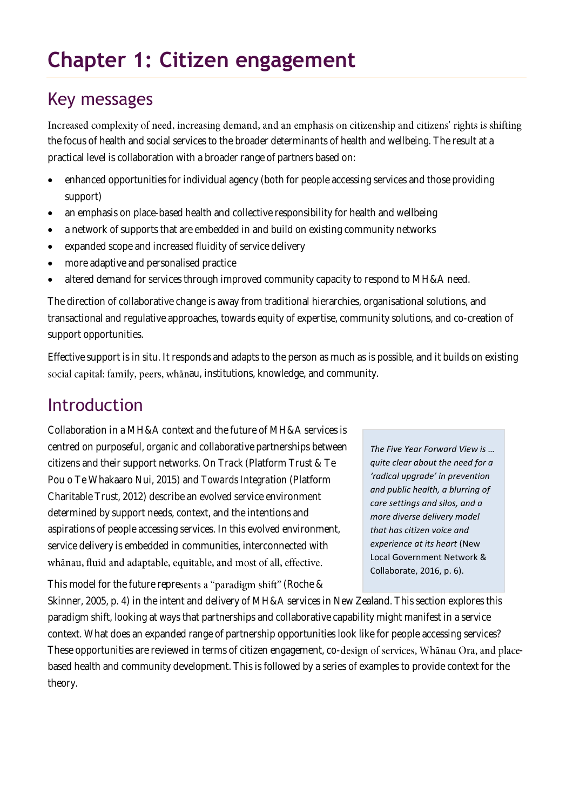# **Chapter 1: Citizen engagement**

## Key messages

Increased complexity of need, increasing demand, and an emphasis on citizenship and citizens' rights is shifting the focus of health and social services to the broader determinants of health and wellbeing. The result at a practical level is collaboration with a broader range of partners based on:

- enhanced opportunities for individual agency (both for people accessing services and those providing support)
- an emphasis on place-based health and collective responsibility for health and wellbeing
- a network of supports that are embedded in and build on existing community networks
- expanded scope and increased fluidity of service delivery
- more adaptive and personalised practice
- altered demand for services through improved community capacity to respond to MH&A need.

The direction of collaborative change is away from traditional hierarchies, organisational solutions, and transactional and regulative approaches, towards equity of expertise, community solutions, and co-creation of support opportunities.

Effective support is *in situ*. It responds and adapts to the person as much as is possible, and it builds on existing social capital: family, peers, whānau, institutions, knowledge, and community.

# Introduction

Collaboration in a MH&A context and the future of MH&A services is centred on purposeful, organic and collaborative partnerships between citizens and their support networks. *On Track* (Platform Trust & Te Pou o Te Whakaaro Nui, 2015) and *Towards Integration* (Platform Charitable Trust, 2012) describe an evolved service environment determined by support needs, context, and the intentions and aspirations of people accessing services. In this evolved environment, service delivery is embedded in communities, interconnected with whanau, fluid and adaptable, equitable, and most of all, effective.

This model for the future represents a "paradigm shift" (Roche &

*The Five Year Forward View is … quite clear about the need for a 'radical upgrade' in prevention and public health, a blurring of care settings and silos, and a more diverse delivery model that has citizen voice and experience at its heart* (New Local Government Network & Collaborate, 2016, p. 6).

Skinner, 2005, p. 4) in the intent and delivery of MH&A services in New Zealand. This section explores this paradigm shift, looking at ways that partnerships and collaborative capability might manifest in a service context. What does an expanded range of partnership opportunities look like for people accessing services? These opportunities are reviewed in terms of citizen engagement, co-design of services, Whānau Ora, and placebased health and community development. This is followed by a series of examples to provide context for the theory.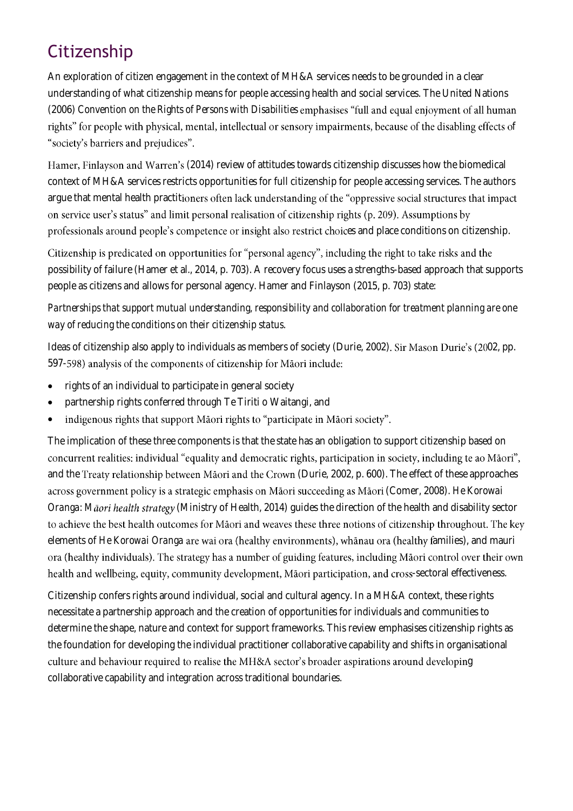# **Citizenship**

An exploration of citizen engagement in the context of MH&A services needs to be grounded in a clear understanding of what citizenship means for people accessing health and social services. The United Nations (2006) *Convention on the Rights of Persons with Disabilities* rights" for people with physical, mental, intellectual or sensory impairments, because of the disabling effects of "society's barriers and prejudices".

Hamer, Finlayson and Warren's (2014) review of attitudes towards citizenship discusses how the biomedical context of MH&A services restricts opportunities for full citizenship for people accessing services. The authors argue that mental health practitioners often lack understanding of the "oppressive social structures that impact on service user's status" and limit personal realisation of citizenship rights (p. 209). Assumptions by professionals around people's competence or insight also restrict choices and place conditions on citizenship.

Citizenship is predicated on opportunities for "personal agency", including the right to take risks and the possibility of failure (Hamer et al., 2014, p. 703). A recovery focus uses a strengths-based approach that supports people as citizens and allows for personal agency. Hamer and Finlayson (2015, p. 703) state:

*Partnerships that support mutual understanding, responsibility and collaboration for treatment planning are one way of reducing the conditions on their citizenship status*.

Ideas of citizenship also apply to individuals as members of society (Durie, 2002). Sir Mason Durie's (2002, pp. 597-598) analysis of the components of citizenship for Māori include:

- rights of an individual to participate in general society
- partnership rights conferred through Te Tiriti o Waitangi, and
- indigenous rights that support Māori rights to "participate in Māori society". •

The implication of these three components is that the state has an obligation to support citizenship based on concurrent realities: individual "equality and democratic rights, participation in society, including te ao Māori", and the Treaty relationship between Māori and the Crown (Durie, 2002, p. 600). The effect of these approaches across government policy is a strategic emphasis on Māori succeeding as Māori (Comer, 2008). *He Korowai Oranga: Māori health strategy* (Ministry of Health, 2014) guides the direction of the health and disability sector to achieve the best health outcomes for Māori and weaves these three notions of citizenship throughout. The key elements of *He Korowai Oranga* are wai ora (healthy environments), whānau ora (healthy families), and mauri ora (healthy individuals). The strategy has a number of guiding features, including Māori control over their own health and wellbeing, equity, community development, Māori participation, and cross-sectoral effectiveness.

Citizenship confers rights around individual, social and cultural agency. In a MH&A context, these rights necessitate a partnership approach and the creation of opportunities for individuals and communities to determine the shape, nature and context for support frameworks. This review emphasises citizenship rights as the foundation for developing the individual practitioner collaborative capability and shifts in organisational culture and behaviour required to realise the MH&A sector's broader aspirations around developing collaborative capability and integration across traditional boundaries.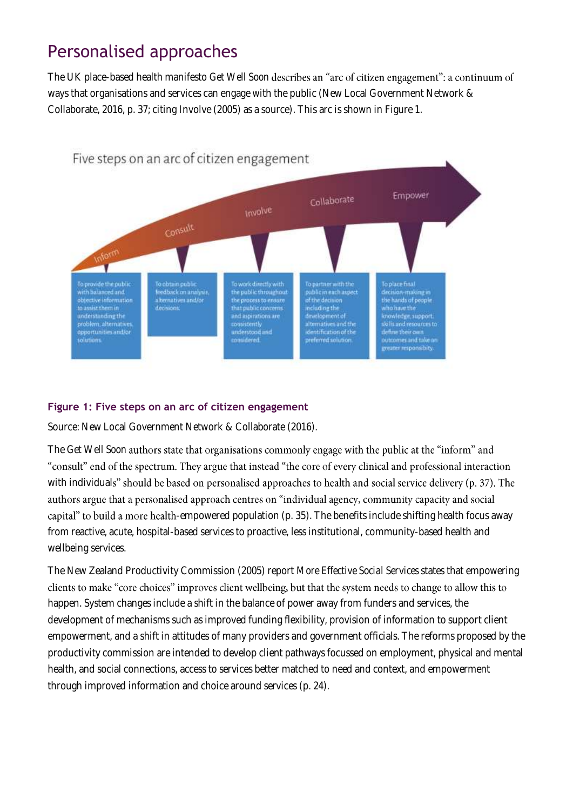# Personalised approaches

The UK place-based health manifesto *Get Well Soon* ways that organisations and services can engage with the public (New Local Government Network & Collaborate, 2016, p. 37; citing Involve (2005) as a source). This arc is shown in Figure 1.



#### **Figure 1: Five steps on an arc of citizen engagement**

Source: New Local Government Network & Collaborate (2016).

The *Get Well Soon* authors state that organisations commonly engage with the public at the "inform" and "consult" end of the spectrum. They argue that instead "the core of every clinical and professional interaction with individuals" should be based on personalised approaches to health and social service delivery (p. 37). The authors argue that a personalised approach centres on "individual agency, community capacity and social capital" to build a more health-empowered population (p. 35). The benefits include shifting health focus away from reactive, acute, hospital-based services to proactive, less institutional, community-based health and wellbeing services.

The New Zealand Productivity Commission (2005) report *More Effective Social Services* states that empowering clients to make "core choices" improves client wellbeing, but that the system needs to change to allow this to happen. System changes include a shift in the balance of power away from funders and services, the development of mechanisms such as improved funding flexibility, provision of information to support client empowerment, and a shift in attitudes of many providers and government officials. The reforms proposed by the productivity commission are intended to develop client pathways focussed on employment, physical and mental health, and social connections, access to services better matched to need and context, and empowerment through improved information and choice around services (p. 24).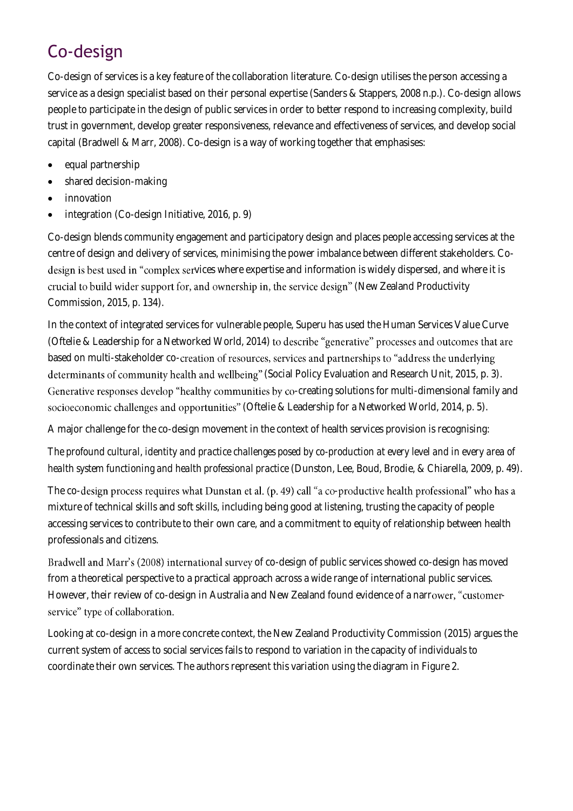# Co-design

Co-design of services is a key feature of the collaboration literature. Co-design utilises the person accessing a service as a design specialist based on their personal expertise (Sanders & Stappers, 2008 n.p.). Co-design allows people to participate in the design of public services in order to better respond to increasing complexity, build trust in government, develop greater responsiveness, relevance and effectiveness of services, and develop social capital (Bradwell & Marr, 2008). Co-design is a way of working together that emphasises:

- equal partnership
- shared decision-making
- innovation
- integration (Co-design Initiative, 2016, p. 9)

Co-design blends community engagement and participatory design and places people accessing services at the centre of design and delivery of services, minimising the power imbalance between different stakeholders. Codesign is best used in "complex services where expertise and information is widely dispersed, and where it is crucial to build wider support for, and ownership in, the service design" (New Zealand Productivity Commission, 2015, p. 134).

In the context of integrated services for vulnerable people, Superu has used the Human Services Value Curve (Oftelie & Leadership for a Networked World, 2014) to describe "generative" processes and outcomes that are based on multi-stakeholder co-creation of resources, services and partnerships to "address the underlying determinants of community health and wellbeing" (Social Policy Evaluation and Research Unit, 2015, p. 3). Generative responses develop "healthy communities by co-creating solutions for multi-dimensional family and socioeconomic challenges and opportunities" (Oftelie & Leadership for a Networked World, 2014, p. 5).

A major challenge for the co-design movement in the context of health services provision is recognising:

*The profound cultural, identity and practice challenges posed by co-production at every level and in every area of health system functioning and health professional practice* (Dunston, Lee, Boud, Brodie, & Chiarella, 2009, p. 49).

The co-design process requires what Dunstan et al. (p. 49) call "a co-productive health professional" who has a mixture of technical skills and soft skills, including being good at listening, trusting the capacity of people accessing services to contribute to their own care, and a commitment to equity of relationship between health professionals and citizens.

Bradwell and Marr's (2008) international survey of co-design of public services showed co-design has moved from a theoretical perspective to a practical approach across a wide range of international public services. However, their review of co-design in Australia and New Zealand found evidence of a narrower, "customerservice" type of collaboration.

Looking at co-design in a more concrete context, the New Zealand Productivity Commission (2015) argues the current system of access to social services fails to respond to variation in the capacity of individuals to coordinate their own services. The authors represent this variation using the diagram in Figure 2.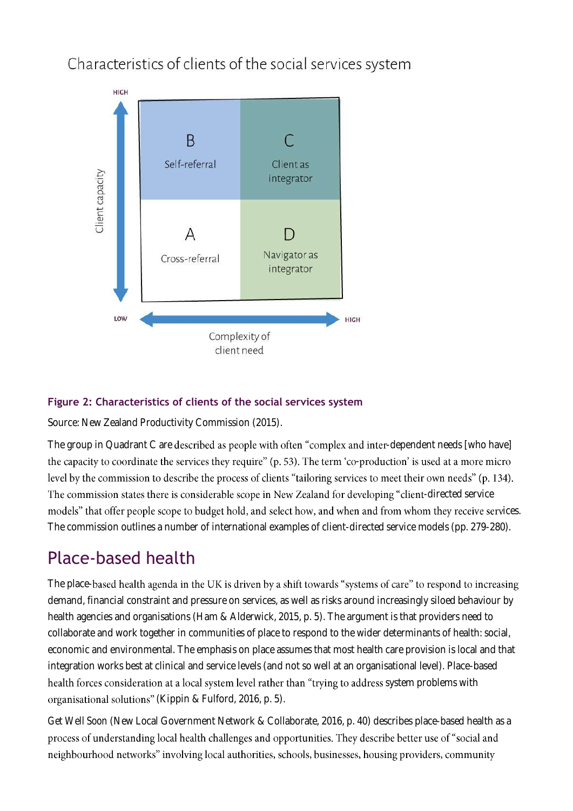Characteristics of clients of the social services system



### **Figure 2: Characteristics of clients of the social services system**

Source: New Zealand Productivity Commission (2015).

The group in Quadrant C are described as people with often "complex and inter-dependent needs [who have] the capacity to coordinate the services they require" (p. 53). The term 'co-production' is used at a more micro level by the commission to describe the process of clients "tailoring services to meet their own needs" (p. 134). The commission states there is considerable scope in New Zealand for developing "client-directed service models" that offer people scope to budget hold, and select how, and when and from whom they receive services. The commission outlines a number of international examples of client-directed service models (pp. 279-280).

# Place-based health

The place-based health agenda in the UK is driven by a shift towards "systems of care" to respond to increasing demand, financial constraint and pressure on services, as well as risks around increasingly siloed behaviour by health agencies and organisations (Ham & Alderwick, 2015, p. 5). The argument is that providers need to collaborate and work together in communities of place to respond to the wider determinants of health: social, economic and environmental. The emphasis on place assumes that most health care provision is local and that integration works best at clinical and service levels (and not so well at an organisational level). Place-based health forces consideration at a local system level rather than "trying to address system problems with organisational solutions" (Kippin & Fulford, 2016, p. 5).

*Get Well Soon* (New Local Government Network & Collaborate, 2016, p. 40) describes place-based health as a process of understanding local health challenges and opportunities. They describe better use of "social and neighbourhood networks" involving local authorities, schools, businesses, housing providers, community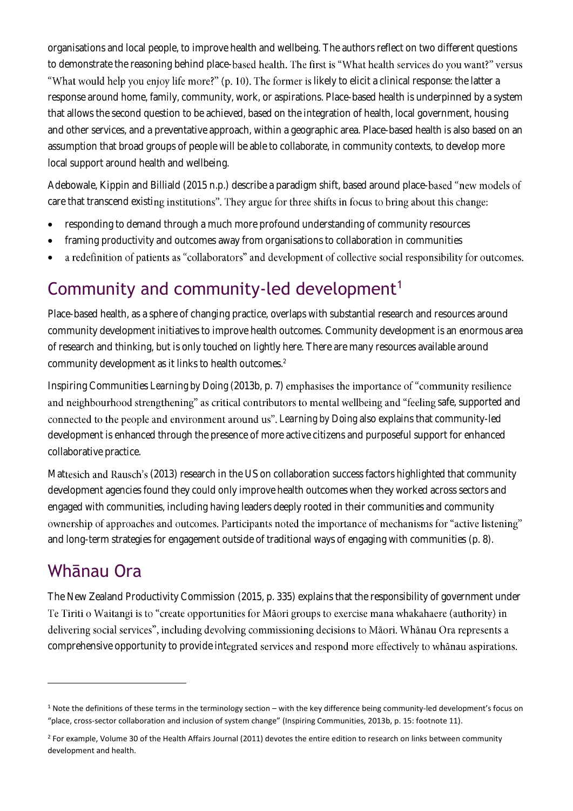organisations and local people, to improve health and wellbeing. The authors reflect on two different questions to demonstrate the reasoning behind place-based health. The first is "What health services do you want?" versus "What would help you enjoy life more?" (p. 10). The former is likely to elicit a clinical response: the latter a response around home, family, community, work, or aspirations. Place-based health is underpinned by a system that allows the second question to be achieved, based on the integration of health, local government, housing and other services, and a preventative approach, within a geographic area. Place-based health is also based on an assumption that broad groups of people will be able to collaborate, in community contexts, to develop more local support around health and wellbeing.

Adebowale, Kippin and Billiald (2015 n.p.) describe a paradigm shift, based around place-based "new models of care that transcend existing institutions". They argue for three shifts in focus to bring about this change:

- responding to demand through a much more profound understanding of community resources
- framing productivity and outcomes away from organisations to collaboration in communities
- a redefinition of patients as "collaborators" and development of collective social responsibility for outcomes.

# Community and community-led development<sup>1</sup>

Place-based health, as a sphere of changing practice, overlaps with substantial research and resources around community development initiatives to improve health outcomes. Community development is an enormous area of research and thinking, but is only touched on lightly here. There are many resources available around community development as it links to health outcomes.<sup>2</sup>

Inspiring Communities *Learning by Doing* (2013b, p. 7) and neighbourhood strengthening" as critical contributors to mental wellbeing and "feeling safe, supported and *Learning by Doing* also explains that community-led development is enhanced through the presence of more active citizens and purposeful support for enhanced collaborative practice.

Mattesich and Rausch's (2013) research in the US on collaboration success factors highlighted that community development agencies found they could only improve health outcomes when they worked across sectors and engaged with communities, including having leaders deeply rooted in their communities and community ownership of approaches and outcomes. Participants noted the importance of mechanisms for "active listening" and long-term strategies for engagement outside of traditional ways of engaging with communities (p. 8).

# Whānau Ora

 $\overline{a}$ 

The New Zealand Productivity Commission (2015, p. 335) explains that the responsibility of government under Te Tiriti o Waitangi is to "create opportunities for Māori groups to exercise mana whakahaere (authority) in delivering social services", including devolving commissioning decisions to Māori. Whānau Ora represents a comprehensive opportunity to provide integrated services and respond more effectively to whanau aspirations.

<sup>&</sup>lt;sup>1</sup> Note the definitions of these terms in the terminology section – with the key difference being community-led development's focus on "place, cross-sector collaboration and inclusion of system change" (Inspiring Communities, 2013b, p. 15: footnote 11).

<sup>&</sup>lt;sup>2</sup> For example, Volume 30 of the Health Affairs Journal (2011) devotes the entire edition to research on links between community development and health.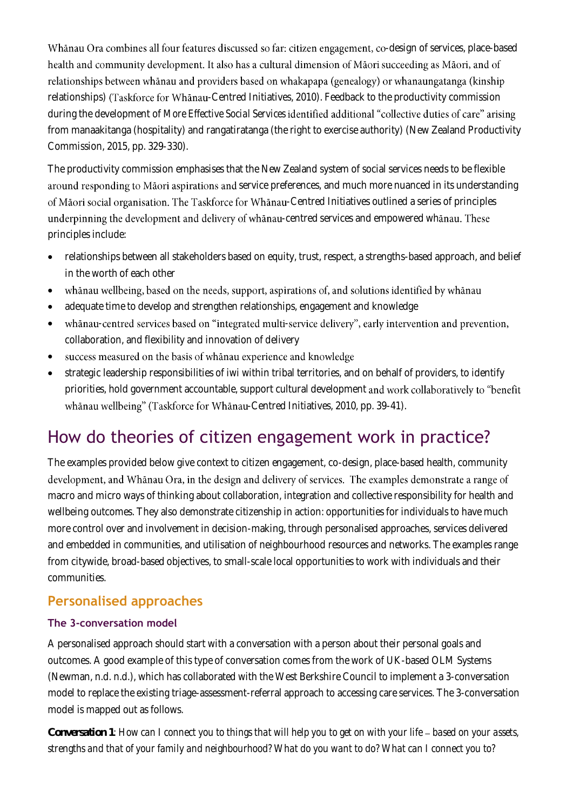Whānau Ora combines all four features discussed so far: citizen engagement, co-design of services, place-based health and community development. It also has a cultural dimension of Māori succeeding as Māori, and of relationships between whānau and providers based on whakapapa (genealogy) or whanaungatanga (kinship relationships) (Taskforce for Whanau-Centred Initiatives, 2010). Feedback to the productivity commission during the development of *More Effective Social Services* identified additional "collective duties of care" arising from manaakitanga (hospitality) and rangatiratanga (the right to exercise authority) (New Zealand Productivity Commission, 2015, pp. 329-330).

The productivity commission emphasises that the New Zealand system of social services needs to be flexible around responding to Māori aspirations and service preferences, and much more nuanced in its understanding of Māori social organisation. The Taskforce for Whānau-Centred Initiatives outlined a series of principles underpinning the development and delivery of whanau-centred services and empowered whanau. These principles include:

- relationships between all stakeholders based on equity, trust, respect, a strengths-based approach, and belief in the worth of each other
- whanau wellbeing, based on the needs, support, aspirations of, and solutions identified by whanau •
- adequate time to develop and strengthen relationships, engagement and knowledge
- whanau-centred services based on "integrated multi-service delivery", early intervention and prevention, collaboration, and flexibility and innovation of delivery
- success measured on the basis of whanau experience and knowledge •
- strategic leadership responsibilities of iwi within tribal territories, and on behalf of providers, to identify priorities, hold government accountable, support cultural development and work collaboratively to "benefit whānau wellbeing" (Taskforce for Whānau-Centred Initiatives, 2010, pp. 39-41).

# How do theories of citizen engagement work in practice?

The examples provided below give context to citizen engagement, co-design, place-based health, community development, and Whānau Ora, in the design and delivery of services. The examples demonstrate a range of macro and micro ways of thinking about collaboration, integration and collective responsibility for health and wellbeing outcomes. They also demonstrate citizenship in action: opportunities for individuals to have much more control over and involvement in decision-making, through personalised approaches, services delivered and embedded in communities, and utilisation of neighbourhood resources and networks. The examples range from citywide, broad-based objectives, to small-scale local opportunities to work with individuals and their communities.

### **Personalised approaches**

### **The 3-conversation model**

A personalised approach should start with a conversation with a person about their personal goals and outcomes. A good example of this type of conversation comes from the work of UK-based OLM Systems (Newman, n.d. n.d.), which has collaborated with the West Berkshire Council to implement a 3-conversation model to replace the existing triage-assessment-referral approach to accessing care services. The 3-conversation model is mapped out as follows.

*Conversation 1: How can I connect you to things that will help you to get on with your life based on your assets, strengths and that of your family and neighbourhood? What do you want to do? What can I connect you to?*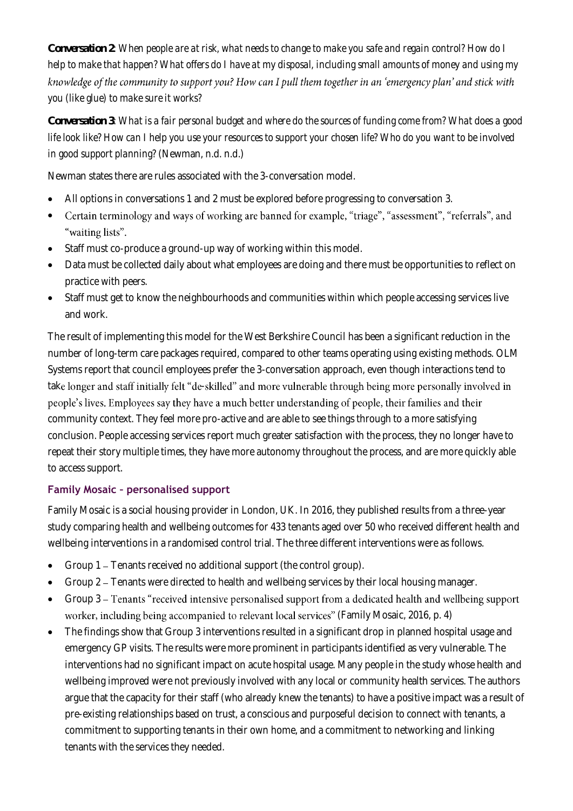*Conversation 2: When people are at risk, what needs to change to make you safe and regain control? How do I help to make that happen? What offers do I have at my disposal, including small amounts of money and using my*  knowledge of the community to support you? How can I pull them together in an 'emergency plan' and stick with *you (like glue) to make sure it works?*

*Conversation 3: What is a fair personal budget and where do the sources of funding come from? What does a good life look like? How can I help you use your resources to support your chosen life? Who do you want to be involved in good support planning?* (Newman, n.d. n.d.)

Newman states there are rules associated with the 3-conversation model.

- All options in conversations 1 and 2 must be explored before progressing to conversation 3.
- Certain terminology and ways of working are banned for example, "triage", "assessment", "referrals", and • "waiting lists".
- Staff must co-produce a ground-up way of working within this model.
- Data must be collected daily about what employees are doing and there must be opportunities to reflect on practice with peers.
- Staff must get to know the neighbourhoods and communities within which people accessing services live and work.

The result of implementing this model for the West Berkshire Council has been a significant reduction in the number of long-term care packages required, compared to other teams operating using existing methods. OLM Systems report that council employees prefer the 3-conversation approach, even though interactions tend to take longer and staff initially felt "de-skilled" and more vulnerable through being more personally involved in people's lives. Employees say they have a much better understanding of people, their families and their community context. They feel more pro-active and are able to see things through to a more satisfying conclusion. People accessing services report much greater satisfaction with the process, they no longer have to repeat their story multiple times, they have more autonomy throughout the process, and are more quickly able to access support.

### **Family Mosaic – personalised support**

Family Mosaic is a social housing provider in London, UK. In 2016, they published results from a three-year study comparing health and wellbeing outcomes for 433 tenants aged over 50 who received different health and wellbeing interventions in a randomised control trial. The three different interventions were as follows.

- Group 1 Tenants received no additional support (the control group).
- Group 2 Tenants were directed to health and wellbeing services by their local housing manager.
- Group 3 Tenants "received intensive personalised support from a dedicated health and wellbeing support worker, including being accompanied to relevant local services" (Family Mosaic, 2016, p. 4)
- The findings show that Group 3 interventions resulted in a significant drop in planned hospital usage and emergency GP visits. The results were more prominent in participants identified as very vulnerable. The interventions had no significant impact on acute hospital usage. Many people in the study whose health and wellbeing improved were not previously involved with any local or community health services. The authors argue that the capacity for their staff (who already knew the tenants) to have a positive impact was a result of pre-existing relationships based on trust, a conscious and purposeful decision to connect with tenants, a commitment to supporting tenants in their own home, and a commitment to networking and linking tenants with the services they needed.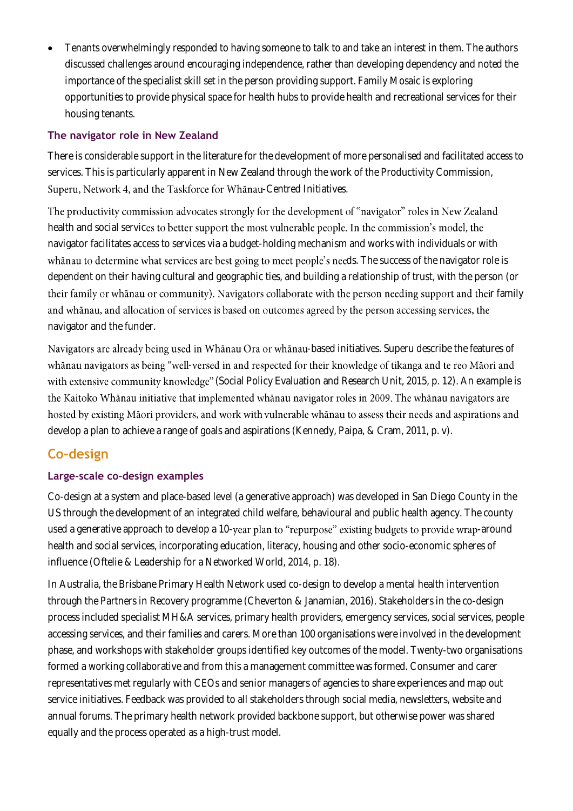• Tenants overwhelmingly responded to having someone to talk to and take an interest in them. The authors discussed challenges around encouraging independence, rather than developing dependency and noted the importance of the specialist skill set in the person providing support. Family Mosaic is exploring opportunities to provide physical space for health hubs to provide health and recreational services for their housing tenants.

#### **The navigator role in New Zealand**

There is considerable support in the literature for the development of more personalised and facilitated access to services. This is particularly apparent in New Zealand through the work of the Productivity Commission, Superu, Network 4, and the Taskforce for Whānau-Centred Initiatives.

The productivity commission advocates strongly for the development of "navigator" roles in New Zealand health and social services to better support the most vulnerable people. In the commission's model, the navigator facilitates access to services via a budget-holding mechanism and works with individuals or with whanau to determine what services are best going to meet people's needs. The success of the navigator role is dependent on their having cultural and geographic ties, and building a relationship of trust, with the person (or their family or whanau or community). Navigators collaborate with the person needing support and their family and whanau, and allocation of services is based on outcomes agreed by the person accessing services, the navigator and the funder.

Navigators are already being used in Whānau Ora or whānau-based initiatives. Superu describe the features of whānau navigators as being "well-versed in and respected for their knowledge of tikanga and te reo Māori and with extensive community knowledge" (Social Policy Evaluation and Research Unit, 2015, p. 12). An example is the Kaitoko Whānau initiative that implemented whānau navigator roles in 2009. The whānau navigators are hosted by existing Māori providers, and work with vulnerable whānau to assess their needs and aspirations and develop a plan to achieve a range of goals and aspirations (Kennedy, Paipa, & Cram, 2011, p. v).

### **Co-design**

### **Large-scale co-design examples**

Co-design at a system and place-based level (a generative approach) was developed in San Diego County in the US through the development of an integrated child welfare, behavioural and public health agency. The county used a generative approach to develop a 10-year plan to "repurpose" existing budgets to provide wrap-around health and social services, incorporating education, literacy, housing and other socio-economic spheres of influence (Oftelie & Leadership for a Networked World, 2014, p. 18).

In Australia, the Brisbane Primary Health Network used co-design to develop a mental health intervention through the Partners in Recovery programme (Cheverton & Janamian, 2016). Stakeholders in the co-design process included specialist MH&A services, primary health providers, emergency services, social services, people accessing services, and their families and carers. More than 100 organisations were involved in the development phase, and workshops with stakeholder groups identified key outcomes of the model. Twenty-two organisations formed a working collaborative and from this a management committee was formed. Consumer and carer representatives met regularly with CEOs and senior managers of agencies to share experiences and map out service initiatives. Feedback was provided to all stakeholders through social media, newsletters, website and annual forums. The primary health network provided backbone support, but otherwise power was shared equally and the process operated as a high-trust model.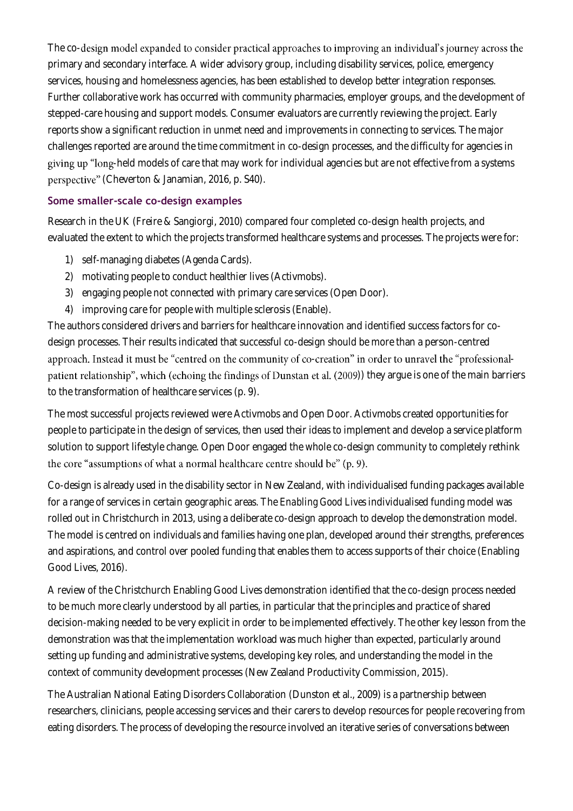The co-design model expanded to consider practical approaches to improving an individual's journey across the primary and secondary interface. A wider advisory group, including disability services, police, emergency services, housing and homelessness agencies, has been established to develop better integration responses. Further collaborative work has occurred with community pharmacies, employer groups, and the development of stepped-care housing and support models. Consumer evaluators are currently reviewing the project. Early reports show a significant reduction in unmet need and improvements in connecting to services. The major challenges reported are around the time commitment in co-design processes, and the difficulty for agencies in giving up "long-held models of care that may work for individual agencies but are not effective from a systems (Cheverton & Janamian, 2016, p. S40).

### **Some smaller-scale co-design examples**

Research in the UK (Freire & Sangiorgi, 2010) compared four completed co-design health projects, and evaluated the extent to which the projects transformed healthcare systems and processes. The projects were for:

- 1) self-managing diabetes (Agenda Cards).
- 2) motivating people to conduct healthier lives (Activmobs).
- 3) engaging people not connected with primary care services (Open Door).
- 4) improving care for people with multiple sclerosis (Enable).

The authors considered drivers and barriers for healthcare innovation and identified success factors for codesign processes. Their results indicated that successful co-design should be more than a person-centred approach. Instead it must be "centred on the community of co-creation" in order to unravel the "professionalpatient relationship", which (echoing the findings of Dunstan et al. (2009)) they argue is one of the main barriers to the transformation of healthcare services (p. 9).

The most successful projects reviewed were Activmobs and Open Door. Activmobs created opportunities for people to participate in the design of services, then used their ideas to implement and develop a service platform solution to support lifestyle change. Open Door engaged the whole co-design community to completely rethink the core "assumptions of what a normal healthcare centre should be" (p. 9).

Co-design is already used in the disability sector in New Zealand, with individualised funding packages available for a range of services in certain geographic areas. The *Enabling Good Lives* individualised funding model was rolled out in Christchurch in 2013, using a deliberate co-design approach to develop the demonstration model. The model is centred on individuals and families having one plan, developed around their strengths, preferences and aspirations, and control over pooled funding that enables them to access supports of their choice (Enabling Good Lives, 2016).

A review of the Christchurch Enabling Good Lives demonstration identified that the co-design process needed to be much more clearly understood by all parties, in particular that the principles and practice of shared decision-making needed to be very explicit in order to be implemented effectively. The other key lesson from the demonstration was that the implementation workload was much higher than expected, particularly around setting up funding and administrative systems, developing key roles, and understanding the model in the context of community development processes (New Zealand Productivity Commission, 2015).

The Australian National Eating Disorders Collaboration (Dunston et al., 2009) is a partnership between researchers, clinicians, people accessing services and their carers to develop resources for people recovering from eating disorders. The process of developing the resource involved an iterative series of conversations between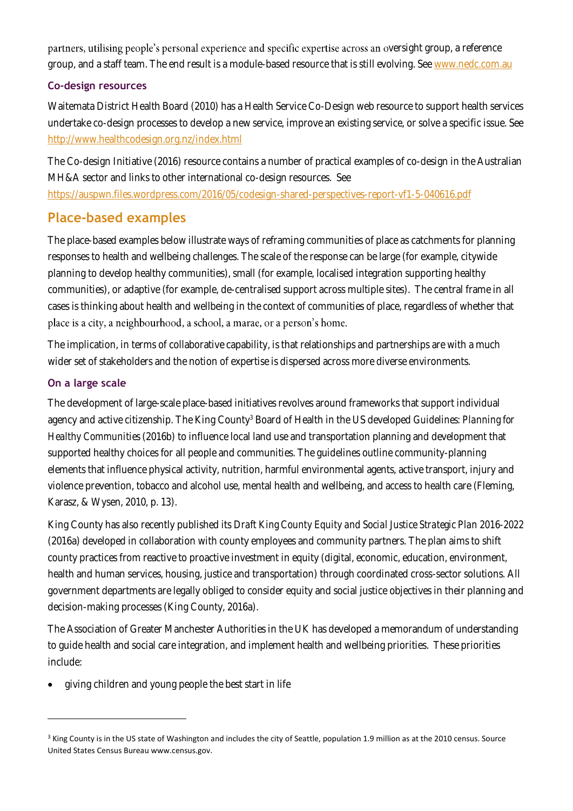partners, utilising people's personal experience and specific expertise across an oversight group, a reference group, and a staff team. The end result is a module-based resource that is still evolving. See [www.nedc.com.au](http://www.nedc.com.au/)

#### **Co-design resources**

Waitemata District Health Board (2010) has a Health Service Co-Design web resource to support health services undertake co-design processes to develop a new service, improve an existing service, or solve a specific issue. See <http://www.healthcodesign.org.nz/index.html>

The Co-design Initiative (2016) resource contains a number of practical examples of co-design in the Australian MH&A sector and links to other international co-design resources. See <https://auspwn.files.wordpress.com/2016/05/codesign-shared-perspectives-report-vf1-5-040616.pdf>

### **Place-based examples**

The place-based examples below illustrate ways of reframing communities of place as catchments for planning responses to health and wellbeing challenges. The scale of the response can be large (for example, citywide planning to develop healthy communities), small (for example, localised integration supporting healthy communities), or adaptive (for example, de-centralised support across multiple sites). The central frame in all cases is thinking about health and wellbeing in the context of communities of place, regardless of whether that place is a city, a neighbourhood, a school, a marae, or a person's home.

The implication, in terms of collaborative capability, is that relationships and partnerships are with a much wider set of stakeholders and the notion of expertise is dispersed across more diverse environments.

### **On a large scale**

 $\overline{a}$ 

The development of large-scale place-based initiatives revolves around frameworks that support individual agency and active citizenship. The King County<sup>3</sup> Board of Health in the US developed *Guidelines: Planning for Healthy Communities* (2016b) to influence local land use and transportation planning and development that supported healthy choices for all people and communities. The guidelines outline community-planning elements that influence physical activity, nutrition, harmful environmental agents, active transport, injury and violence prevention, tobacco and alcohol use, mental health and wellbeing, and access to health care (Fleming, Karasz, & Wysen, 2010, p. 13).

King County has also recently published its *Draft King County Equity and Social Justice Strategic Plan 2016-2022* (2016a) developed in collaboration with county employees and community partners. The plan aims to shift county practices from reactive to proactive investment in equity (digital, economic, education, environment, health and human services, housing, justice and transportation) through coordinated cross-sector solutions. All government departments are legally obliged to consider equity and social justice objectives in their planning and decision-making processes (King County, 2016a).

The Association of Greater Manchester Authorities in the UK has developed a memorandum of understanding to guide health and social care integration, and implement health and wellbeing priorities. These priorities include:

• giving children and young people the best start in life

<sup>&</sup>lt;sup>3</sup> King County is in the US state of Washington and includes the city of Seattle, population 1.9 million as at the 2010 census. Source United States Census Bureau www.census.gov.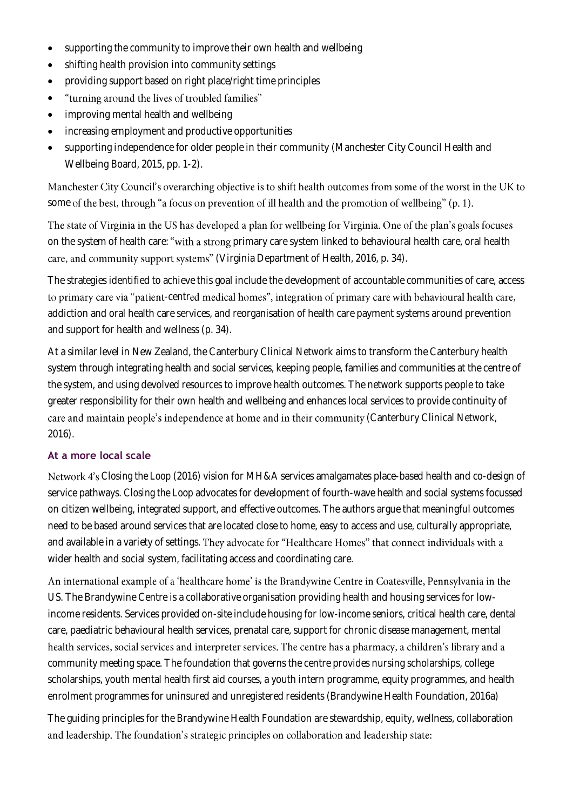- supporting the community to improve their own health and wellbeing
- shifting health provision into community settings
- providing support based on right place/right time principles
- "turning around the lives of troubled families" •
- improving mental health and wellbeing
- increasing employment and productive opportunities
- supporting independence for older people in their community (Manchester City Council Health and Wellbeing Board, 2015, pp. 1-2).

Manchester City Council's overarching objective is to shift health outcomes from some of the worst in the UK to some of the best, through "a focus on prevention of ill health and the promotion of wellbeing" (p. 1).

The state of Virginia in the US has developed a plan for wellbeing for Virginia. One of the plan's goals focuses on the system of health care: "with a strong primary care system linked to behavioural health care, oral health care, and community support systems" (Virginia Department of Health, 2016, p. 34).

The strategies identified to achieve this goal include the development of accountable communities of care, access to primary care via "patient-centred medical homes", integration of primary care with behavioural health care, addiction and oral health care services, and reorganisation of health care payment systems around prevention and support for health and wellness (p. 34).

At a similar level in New Zealand, the Canterbury Clinical Network aims to transform the Canterbury health system through integrating health and social services, keeping people, families and communities at the centre of the system, and using devolved resources to improve health outcomes. The network supports people to take greater responsibility for their own health and wellbeing and enhances local services to provide continuity of care and maintain people's independence at home and in their community (Canterbury Clinical Network, 2016).

### **At a more local scale**

*Closing the Loop* (2016) vision for MH&A services amalgamates place-based health and co-design of service pathways. *Closing the Loop* advocates for development of fourth-wave health and social systems focussed on citizen wellbeing, integrated support, and effective outcomes. The authors argue that meaningful outcomes need to be based around services that are located close to home, easy to access and use, culturally appropriate, and available in a variety of settings. They advocate for "Healthcare Homes" that connect individuals with a wider health and social system, facilitating access and coordinating care.

An international example of a 'healthcare home' is the Brandywine Centre in Coatesville, Pennsylvania in the US. The Brandywine Centre is a collaborative organisation providing health and housing services for lowincome residents. Services provided on-site include housing for low-income seniors, critical health care, dental care, paediatric behavioural health services, prenatal care, support for chronic disease management, mental health services, social services and interpreter services. The centre has a pharmacy, a children's library and a community meeting space. The foundation that governs the centre provides nursing scholarships, college scholarships, youth mental health first aid courses, a youth intern programme, equity programmes, and health enrolment programmes for uninsured and unregistered residents (Brandywine Health Foundation, 2016a)

The guiding principles for the Brandywine Health Foundation are stewardship, equity, wellness, collaboration and leadership. The foundation's strategic principles on collaboration and leadership state: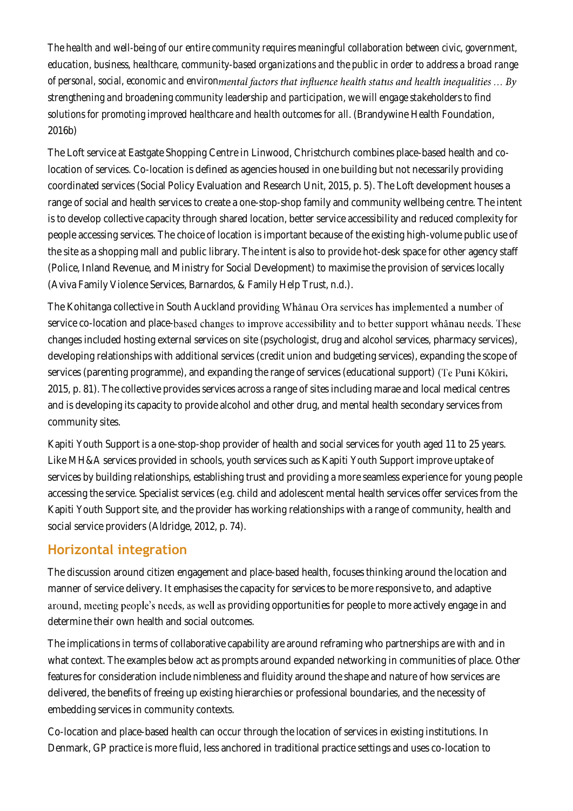*The health and well-being of our entire community requires meaningful collaboration between civic, government, education, business, healthcare, community-based organizations and the public in order to address a broad range of personal, social, economic and environ strengthening and broadening community leadership and participation, we will engage stakeholders to find solutions for promoting improved healthcare and health outcomes for all*. (Brandywine Health Foundation, 2016b)

The Loft service at Eastgate Shopping Centre in Linwood, Christchurch combines place-based health and colocation of services. Co-location is defined as agencies housed in one building but not necessarily providing coordinated services (Social Policy Evaluation and Research Unit, 2015, p. 5). The Loft development houses a range of social and health services to create a one-stop-shop family and community wellbeing centre. The intent is to develop collective capacity through shared location, better service accessibility and reduced complexity for people accessing services. The choice of location is important because of the existing high-volume public use of the site as a shopping mall and public library. The intent is also to provide hot-desk space for other agency staff (Police, Inland Revenue, and Ministry for Social Development) to maximise the provision of services locally (Aviva Family Violence Services, Barnardos, & Family Help Trust, n.d.).

The Kohitanga collective in South Auckland providing Whanau Ora services has implemented a number of service co-location and place-based changes to improve accessibility and to better support whanau needs. These changes included hosting external services on site (psychologist, drug and alcohol services, pharmacy services), developing relationships with additional services (credit union and budgeting services), expanding the scope of services (parenting programme), and expanding the range of services (educational support) (Te Puni Kōkiri, 2015, p. 81). The collective provides services across a range of sites including marae and local medical centres and is developing its capacity to provide alcohol and other drug, and mental health secondary services from community sites.

Kapiti Youth Support is a one-stop-shop provider of health and social services for youth aged 11 to 25 years. Like MH&A services provided in schools, youth services such as Kapiti Youth Support improve uptake of services by building relationships, establishing trust and providing a more seamless experience for young people accessing the service. Specialist services (e.g. child and adolescent mental health services offer services from the Kapiti Youth Support site, and the provider has working relationships with a range of community, health and social service providers (Aldridge, 2012, p. 74).

### **Horizontal integration**

The discussion around citizen engagement and place-based health, focuses thinking around the location and manner of service delivery. It emphasises the capacity for services to be more responsive to, and adaptive around, meeting people's needs, as well as providing opportunities for people to more actively engage in and determine their own health and social outcomes.

The implications in terms of collaborative capability are around reframing who partnerships are with and in what context. The examples below act as prompts around expanded networking in communities of place. Other features for consideration include nimbleness and fluidity around the shape and nature of how services are delivered, the benefits of freeing up existing hierarchies or professional boundaries, and the necessity of embedding services in community contexts.

Co-location and place-based health can occur through the location of services in existing institutions. In Denmark, GP practice is more fluid, less anchored in traditional practice settings and uses co-location to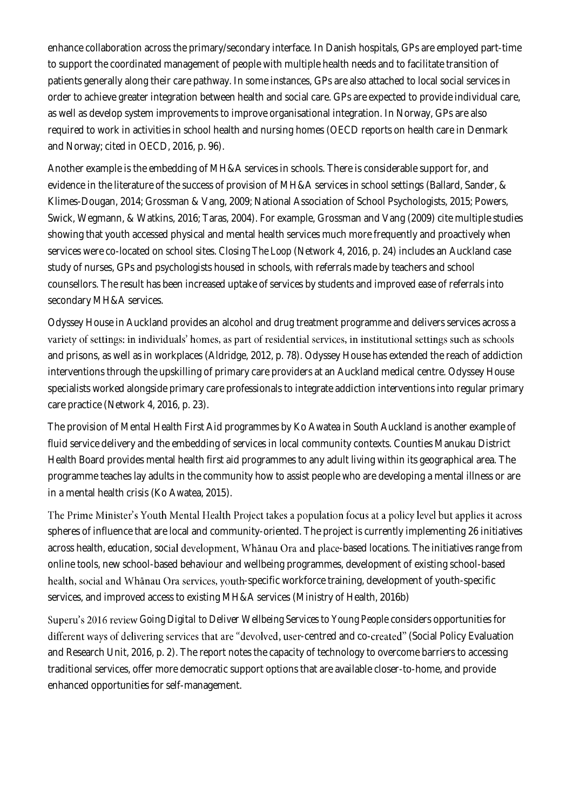enhance collaboration across the primary/secondary interface. In Danish hospitals, GPs are employed part-time to support the coordinated management of people with multiple health needs and to facilitate transition of patients generally along their care pathway. In some instances, GPs are also attached to local social services in order to achieve greater integration between health and social care. GPs are expected to provide individual care, as well as develop system improvements to improve organisational integration. In Norway, GPs are also required to work in activities in school health and nursing homes (OECD reports on health care in Denmark and Norway; cited in OECD, 2016, p. 96).

Another example is the embedding of MH&A services in schools. There is considerable support for, and evidence in the literature of the success of provision of MH&A services in school settings (Ballard, Sander, & Klimes-Dougan, 2014; Grossman & Vang, 2009; National Association of School Psychologists, 2015; Powers, Swick, Wegmann, & Watkins, 2016; Taras, 2004). For example, Grossman and Vang (2009) cite multiple studies showing that youth accessed physical and mental health services much more frequently and proactively when services were co-located on school sites. *Closing The Loop* (Network 4, 2016, p. 24) includes an Auckland case study of nurses, GPs and psychologists housed in schools, with referrals made by teachers and school counsellors. The result has been increased uptake of services by students and improved ease of referrals into secondary MH&A services.

Odyssey House in Auckland provides an alcohol and drug treatment programme and delivers services across a variety of settings: in individuals' homes, as part of residential services, in institutional settings such as schools and prisons, as well as in workplaces (Aldridge, 2012, p. 78). Odyssey House has extended the reach of addiction interventions through the upskilling of primary care providers at an Auckland medical centre. Odyssey House specialists worked alongside primary care professionals to integrate addiction interventions into regular primary care practice (Network 4, 2016, p. 23).

The provision of Mental Health First Aid programmes by Ko Awatea in South Auckland is another example of fluid service delivery and the embedding of services in local community contexts. Counties Manukau District Health Board provides mental health first aid programmes to any adult living within its geographical area. The programme teaches lay adults in the community how to assist people who are developing a mental illness or are in a mental health crisis (Ko Awatea, 2015).

The Prime Minister's Youth Mental Health Project takes a population focus at a policy level but applies it across spheres of influence that are local and community-oriented. The project is currently implementing 26 initiatives across health, education, social development, Whanau Ora and place-based locations. The initiatives range from online tools, new school-based behaviour and wellbeing programmes, development of existing school-based health, social and Whānau Ora services, youth-specific workforce training, development of youth-specific services, and improved access to existing MH&A services (Ministry of Health, 2016b)

*Going Digital to Deliver Wellbeing Services to Young People* considers opportunities for different ways of delivering services that are "devolved, user-centred and co-created" (Social Policy Evaluation and Research Unit, 2016, p. 2). The report notes the capacity of technology to overcome barriers to accessing traditional services, offer more democratic support options that are available closer-to-home, and provide enhanced opportunities for self-management.